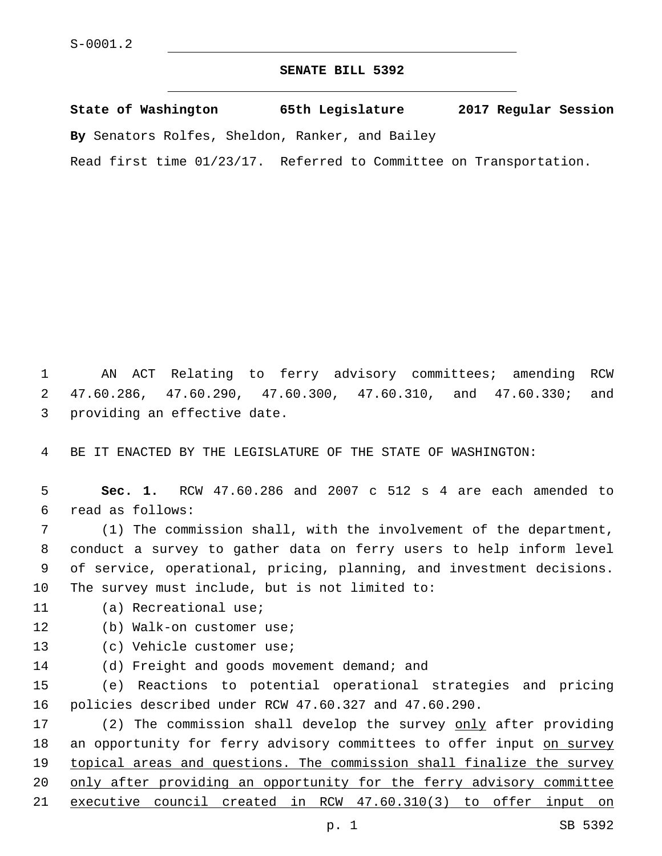## **SENATE BILL 5392**

**State of Washington 65th Legislature 2017 Regular Session By** Senators Rolfes, Sheldon, Ranker, and Bailey Read first time 01/23/17. Referred to Committee on Transportation.

1 AN ACT Relating to ferry advisory committees; amending RCW 2 47.60.286, 47.60.290, 47.60.300, 47.60.310, and 47.60.330; and 3 providing an effective date.

4 BE IT ENACTED BY THE LEGISLATURE OF THE STATE OF WASHINGTON:

5 **Sec. 1.** RCW 47.60.286 and 2007 c 512 s 4 are each amended to read as follows:6

 (1) The commission shall, with the involvement of the department, conduct a survey to gather data on ferry users to help inform level of service, operational, pricing, planning, and investment decisions. 10 The survey must include, but is not limited to:

11 (a) Recreational use;

- 12 (b) Walk-on customer use;
- 13 (c) Vehicle customer use;
- 14 (d) Freight and goods movement demand; and

15 (e) Reactions to potential operational strategies and pricing 16 policies described under RCW 47.60.327 and 47.60.290.

17 (2) The commission shall develop the survey only after providing 18 an opportunity for ferry advisory committees to offer input on survey 19 topical areas and questions. The commission shall finalize the survey 20 only after providing an opportunity for the ferry advisory committee 21 executive council created in RCW 47.60.310(3) to offer input on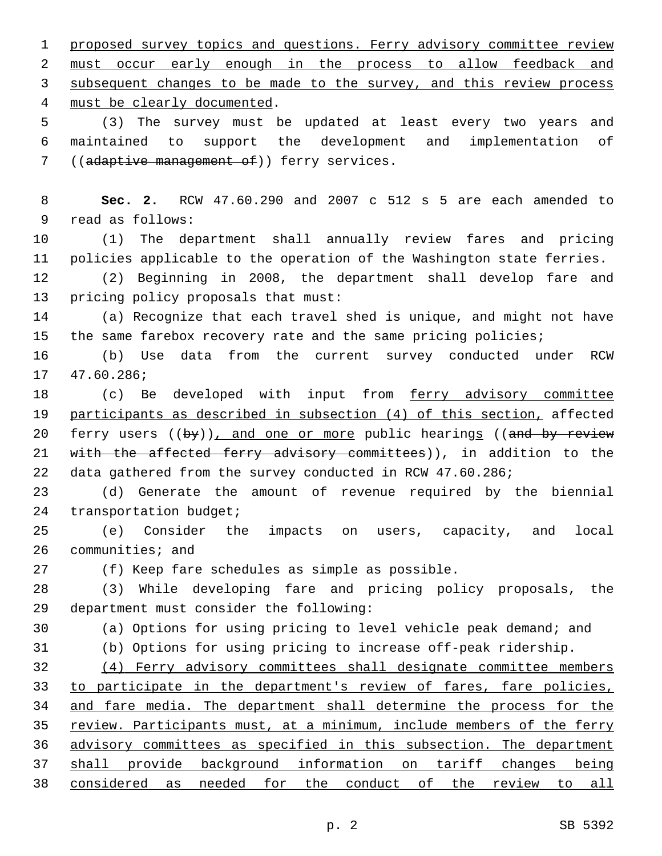1 proposed survey topics and questions. Ferry advisory committee review 2 must occur early enough in the process to allow feedback and 3 subsequent changes to be made to the survey, and this review process 4 must be clearly documented. 5 (3) The survey must be updated at least every two years and 6 maintained to support the development and implementation of 7 ((adaptive management of)) ferry services. 8 **Sec. 2.** RCW 47.60.290 and 2007 c 512 s 5 are each amended to 9 read as follows: 10 (1) The department shall annually review fares and pricing 11 policies applicable to the operation of the Washington state ferries. 12 (2) Beginning in 2008, the department shall develop fare and 13 pricing policy proposals that must: 14 (a) Recognize that each travel shed is unique, and might not have 15 the same farebox recovery rate and the same pricing policies; 16 (b) Use data from the current survey conducted under RCW 17 47.60.286; 18 (c) Be developed with input from ferry advisory committee 19 participants as described in subsection (4) of this section, affected 20 ferry users ((by)), and one or more public hearings ((and by review 21 with the affected ferry advisory committees)), in addition to the 22 data gathered from the survey conducted in RCW 47.60.286; 23 (d) Generate the amount of revenue required by the biennial 24 transportation budget; 25 (e) Consider the impacts on users, capacity, and local 26 communities; and 27 (f) Keep fare schedules as simple as possible. 28 (3) While developing fare and pricing policy proposals, the department must consider the following:29 30 (a) Options for using pricing to level vehicle peak demand; and 31 (b) Options for using pricing to increase off-peak ridership. 32 (4) Ferry advisory committees shall designate committee members 33 to participate in the department's review of fares, fare policies, 34 and fare media. The department shall determine the process for the 35 review. Participants must, at a minimum, include members of the ferry 36 advisory committees as specified in this subsection. The department 37 shall provide background information on tariff changes being 38 considered as needed for the conduct of the review to all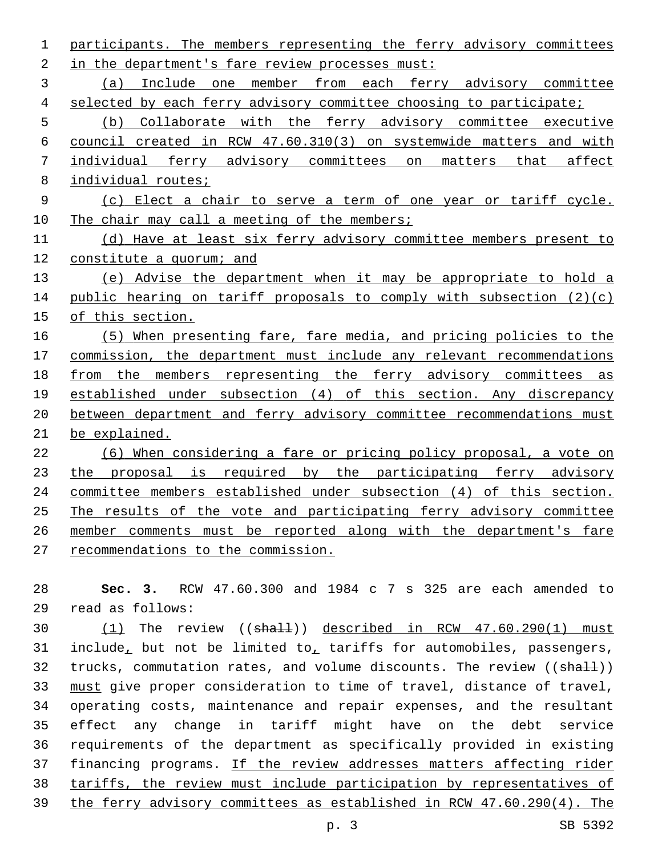participants. The members representing the ferry advisory committees 2 in the department's fare review processes must: (a) Include one member from each ferry advisory committee selected by each ferry advisory committee choosing to participate; (b) Collaborate with the ferry advisory committee executive council created in RCW 47.60.310(3) on systemwide matters and with individual ferry advisory committees on matters that affect 8 individual routes; (c) Elect a chair to serve a term of one year or tariff cycle. 10 The chair may call a meeting of the members; (d) Have at least six ferry advisory committee members present to 12 constitute a quorum; and (e) Advise the department when it may be appropriate to hold a public hearing on tariff proposals to comply with subsection (2)(c) of this section. (5) When presenting fare, fare media, and pricing policies to the commission, the department must include any relevant recommendations from the members representing the ferry advisory committees as established under subsection (4) of this section. Any discrepancy between department and ferry advisory committee recommendations must be explained. (6) When considering a fare or pricing policy proposal, a vote on 23 the proposal is required by the participating ferry advisory committee members established under subsection (4) of this section. The results of the vote and participating ferry advisory committee member comments must be reported along with the department's fare recommendations to the commission.

 **Sec. 3.** RCW 47.60.300 and 1984 c 7 s 325 are each amended to read as follows:29

30 (1) The review ((shall)) described in RCW 47.60.290(1) must include, but not be limited to, tariffs for automobiles, passengers, 32 trucks, commutation rates, and volume discounts. The review ((shall)) must give proper consideration to time of travel, distance of travel, operating costs, maintenance and repair expenses, and the resultant effect any change in tariff might have on the debt service requirements of the department as specifically provided in existing 37 financing programs. If the review addresses matters affecting rider tariffs, the review must include participation by representatives of the ferry advisory committees as established in RCW 47.60.290(4). The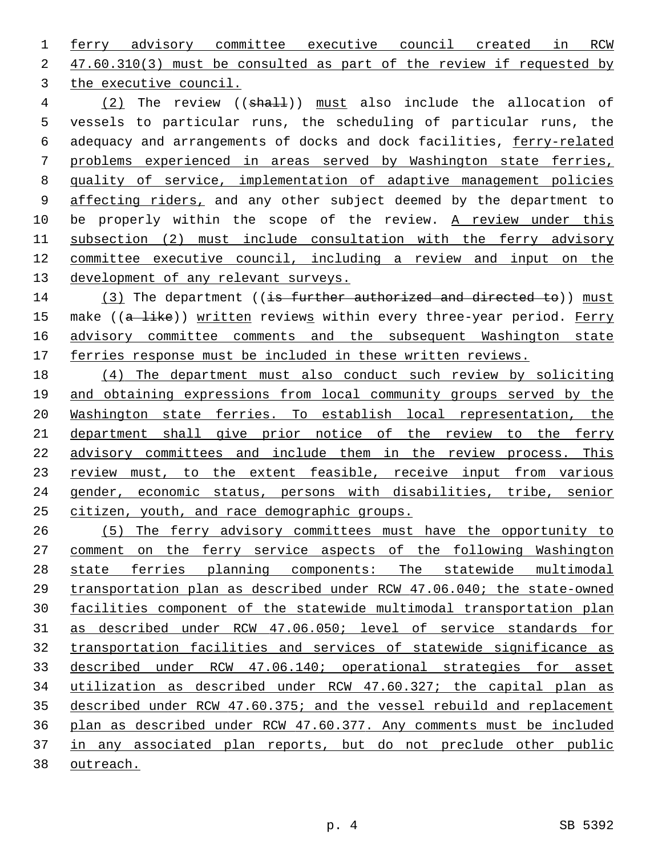ferry advisory committee executive council created in RCW 2 47.60.310(3) must be consulted as part of the review if requested by 3 the executive council.

4 (2) The review ((shall)) must also include the allocation of vessels to particular runs, the scheduling of particular runs, the adequacy and arrangements of docks and dock facilities, ferry-related problems experienced in areas served by Washington state ferries, quality of service, implementation of adaptive management policies 9 affecting riders, and any other subject deemed by the department to 10 be properly within the scope of the review. A review under this subsection (2) must include consultation with the ferry advisory committee executive council, including a review and input on the development of any relevant surveys.

14 (3) The department ((is further authorized and directed to)) must 15 make ((a like)) written reviews within every three-year period. Ferry advisory committee comments and the subsequent Washington state 17 ferries response must be included in these written reviews.

 (4) The department must also conduct such review by soliciting and obtaining expressions from local community groups served by the Washington state ferries. To establish local representation, the department shall give prior notice of the review to the ferry advisory committees and include them in the review process. This 23 review must, to the extent feasible, receive input from various gender, economic status, persons with disabilities, tribe, senior citizen, youth, and race demographic groups.

 (5) The ferry advisory committees must have the opportunity to comment on the ferry service aspects of the following Washington state ferries planning components: The statewide multimodal transportation plan as described under RCW 47.06.040; the state-owned facilities component of the statewide multimodal transportation plan as described under RCW 47.06.050; level of service standards for transportation facilities and services of statewide significance as described under RCW 47.06.140; operational strategies for asset utilization as described under RCW 47.60.327; the capital plan as described under RCW 47.60.375; and the vessel rebuild and replacement plan as described under RCW 47.60.377. Any comments must be included in any associated plan reports, but do not preclude other public outreach.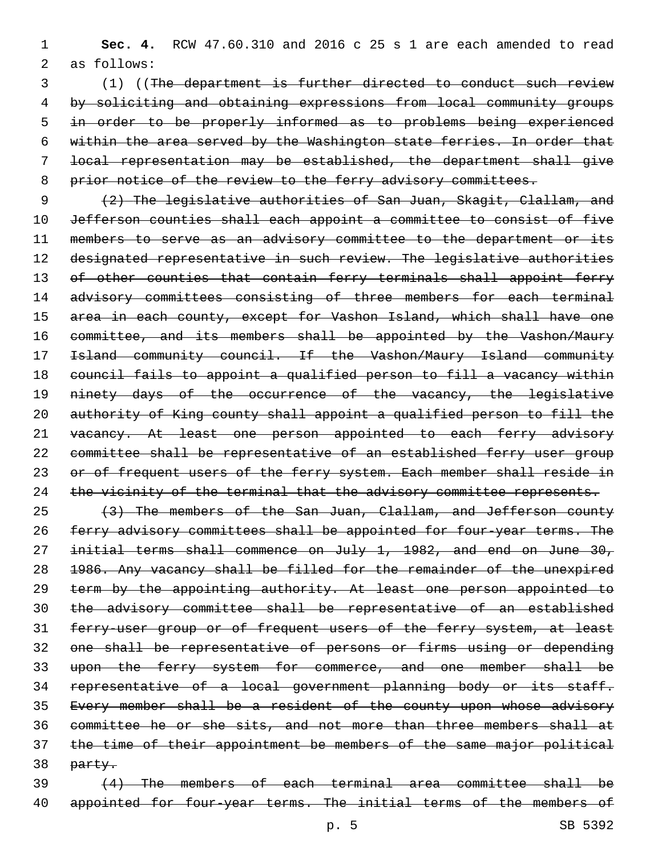(1) ((The department is further directed to conduct such review by soliciting and obtaining expressions from local community groups in order to be properly informed as to problems being experienced within the area served by the Washington state ferries. In order that local representation may be established, the department shall give 8 prior notice of the review to the ferry advisory committees.

9 (2) The legislative authorities of San Juan, Skagit, Clallam, and 10 Jefferson counties shall each appoint a committee to consist of five 11 members to serve as an advisory committee to the department or its 12 designated representative in such review. The legislative authorities 13 of other counties that contain ferry terminals shall appoint ferry 14 advisory committees consisting of three members for each terminal 15 area in each county, except for Vashon Island, which shall have one 16 committee, and its members shall be appointed by the Vashon/Maury 17 **Island community council. If the Vashon/Maury Island community** 18 council fails to appoint a qualified person to fill a vacancy within 19 ninety days of the occurrence of the vacancy, the legislative 20 authority of King county shall appoint a qualified person to fill the 21 vacancy. At least one person appointed to each ferry advisory 22 committee shall be representative of an established ferry user group 23 or of frequent users of the ferry system. Each member shall reside in 24 the vicinity of the terminal that the advisory committee represents.

25 (3) The members of the San Juan, Clallam, and Jefferson county 26 ferry advisory committees shall be appointed for four-year terms. The 27 initial terms shall commence on July 1, 1982, and end on June 30, 28 1986. Any vacancy shall be filled for the remainder of the unexpired 29 term by the appointing authority. At least one person appointed to 30 the advisory committee shall be representative of an established 31 ferry-user group or of frequent users of the ferry system, at least 32 one shall be representative of persons or firms using or depending 33 upon the ferry system for commerce, and one member shall be 34 representative of a local government planning body or its staff. 35 Every member shall be a resident of the county upon whose advisory 36 committee he or she sits, and not more than three members shall at 37 the time of their appointment be members of the same major political 38 party.

39 (4) The members of each terminal area committee shall be 40 appointed for four-year terms. The initial terms of the members of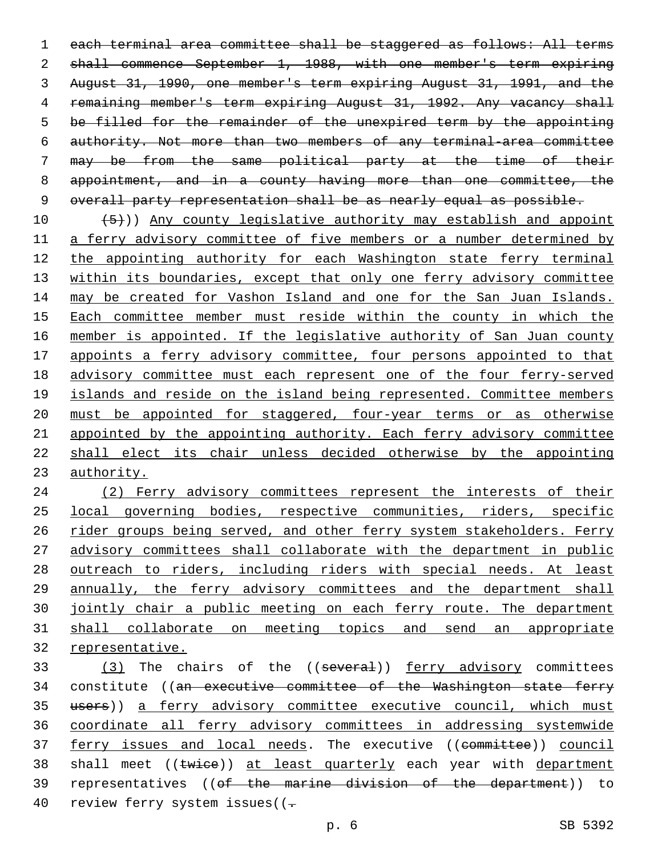1 each terminal area committee shall be staggered as follows: All terms 2 shall commence September 1, 1988, with one member's term expiring August 31, 1990, one member's term expiring August 31, 1991, and the 4 remaining member's term expiring August 31, 1992. Any vacancy shall be filled for the remainder of the unexpired term by the appointing authority. Not more than two members of any terminal-area committee may be from the same political party at the time of their appointment, and in a county having more than one committee, the 9 overall party representation shall be as nearly equal as possible.

 $(5)$ )) Any county legislative authority may establish and appoint a ferry advisory committee of five members or a number determined by 12 the appointing authority for each Washington state ferry terminal within its boundaries, except that only one ferry advisory committee 14 may be created for Vashon Island and one for the San Juan Islands. Each committee member must reside within the county in which the member is appointed. If the legislative authority of San Juan county appoints a ferry advisory committee, four persons appointed to that advisory committee must each represent one of the four ferry-served 19 islands and reside on the island being represented. Committee members must be appointed for staggered, four-year terms or as otherwise appointed by the appointing authority. Each ferry advisory committee shall elect its chair unless decided otherwise by the appointing authority.

 (2) Ferry advisory committees represent the interests of their local governing bodies, respective communities, riders, specific 26 rider groups being served, and other ferry system stakeholders. Ferry advisory committees shall collaborate with the department in public outreach to riders, including riders with special needs. At least annually, the ferry advisory committees and the department shall jointly chair a public meeting on each ferry route. The department shall collaborate on meeting topics and send an appropriate representative.

33 (3) The chairs of the ((several)) ferry advisory committees 34 constitute ((an executive committee of the Washington state ferry 35 users)) a ferry advisory committee executive council, which must coordinate all ferry advisory committees in addressing systemwide 37 ferry issues and local needs. The executive ((committee)) council 38 shall meet ((twice)) at least quarterly each year with department representatives ((of the marine division of the department)) to 40 review ferry system issues((-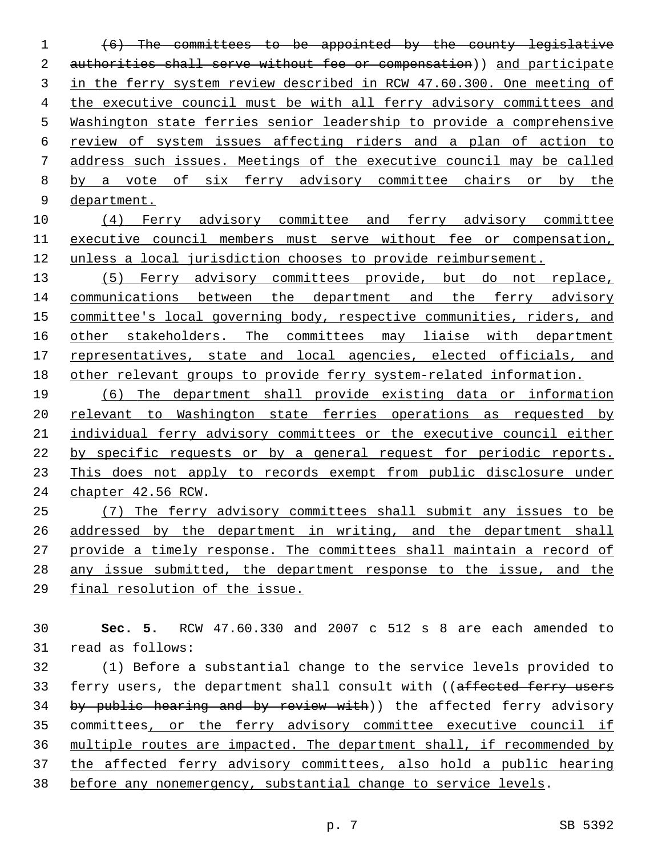(6) The committees to be appointed by the county legislative 2 authorities shall serve without fee or compensation)) and participate in the ferry system review described in RCW 47.60.300. One meeting of the executive council must be with all ferry advisory committees and Washington state ferries senior leadership to provide a comprehensive review of system issues affecting riders and a plan of action to address such issues. Meetings of the executive council may be called by a vote of six ferry advisory committee chairs or by the department.

 (4) Ferry advisory committee and ferry advisory committee executive council members must serve without fee or compensation, unless a local jurisdiction chooses to provide reimbursement.

 (5) Ferry advisory committees provide, but do not replace, 14 communications between the department and the ferry advisory committee's local governing body, respective communities, riders, and 16 other stakeholders. The committees may liaise with department 17 representatives, state and local agencies, elected officials, and other relevant groups to provide ferry system-related information.

 (6) The department shall provide existing data or information relevant to Washington state ferries operations as requested by 21 individual ferry advisory committees or the executive council either by specific requests or by a general request for periodic reports. This does not apply to records exempt from public disclosure under 24 chapter 42.56 RCW.

 (7) The ferry advisory committees shall submit any issues to be addressed by the department in writing, and the department shall provide a timely response. The committees shall maintain a record of any issue submitted, the department response to the issue, and the final resolution of the issue.

 **Sec. 5.** RCW 47.60.330 and 2007 c 512 s 8 are each amended to 31 read as follows:

 (1) Before a substantial change to the service levels provided to 33 ferry users, the department shall consult with ((affected ferry users 34 by public hearing and by review with)) the affected ferry advisory committees, or the ferry advisory committee executive council if multiple routes are impacted. The department shall, if recommended by the affected ferry advisory committees, also hold a public hearing before any nonemergency, substantial change to service levels.